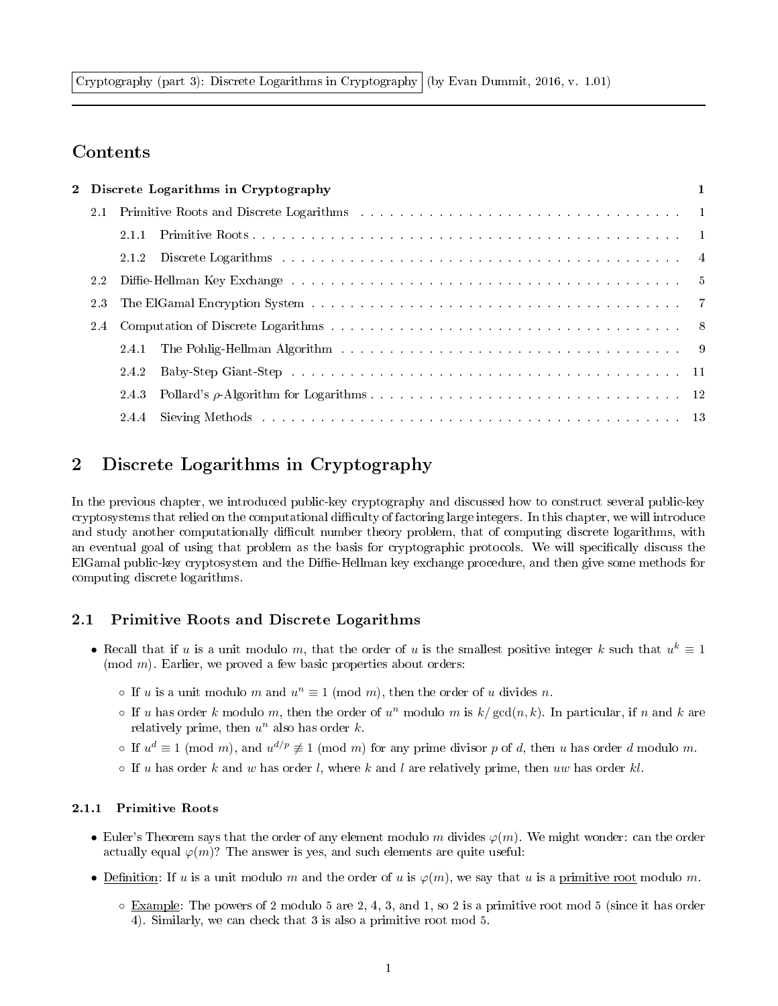Cryptography (part 3): Discrete Logarithms in Cryptography (by Evan Dummit, 2016, v. 1.01)

# Contents

| 2.4 |       |     |                                                |
|-----|-------|-----|------------------------------------------------|
|     |       |     |                                                |
|     | 2.4.2 |     |                                                |
|     | 2.4.3 |     |                                                |
|     |       |     |                                                |
|     |       | 2.3 | 2 Discrete Logarithms in Cryptography<br>2.1.1 |

# 2 Discrete Logarithms in Cryptography

In the previous chapter, we introduced public-key cryptography and discussed how to construct several public-key cryptosystems that relied on the computational difficulty of factoring large integers. In this chapter, we will introduce and study another computationally difficult number theory problem, that of computing discrete logarithms, with an eventual goal of using that problem as the basis for cryptographic protocols. We will specifically discuss the ElGamal public-key cryptosystem and the Diffie-Hellman key exchange procedure, and then give some methods for computing discrete logarithms.

## 2.1 Primitive Roots and Discrete Logarithms

- Recall that if u is a unit modulo m, that the order of u is the smallest positive integer k such that  $u^k \equiv 1$  $(mod m)$ . Earlier, we proved a few basic properties about orders:
	- If u is a unit modulo m and  $u^n \equiv 1 \pmod{m}$ , then the order of u divides n.
	- $\circ$  If u has order k modulo m, then the order of  $u^n$  modulo m is  $k/\gcd(n, k)$ . In particular, if n and k are relatively prime, then  $u^n$  also has order k.
	- If  $u^d \equiv 1 \pmod{m}$ , and  $u^{d/p} \not\equiv 1 \pmod{m}$  for any prime divisor p of d, then u has order d modulo m.
	- $\circ$  If u has order k and w has order l, where k and l are relatively prime, then uw has order kl.

#### 2.1.1 Primitive Roots

- Euler's Theorem says that the order of any element modulo m divides  $\varphi(m)$ . We might wonder: can the order actually equal  $\varphi(m)$ ? The answer is yes, and such elements are quite useful:
- Definition: If u is a unit modulo m and the order of u is  $\varphi(m)$ , we say that u is a primitive root modulo m.
	- Example: The powers of 2 modulo 5 are 2, 4, 3, and 1, so 2 is a primitive root mod 5 (since it has order 4). Similarly, we can check that 3 is also a primitive root mod 5.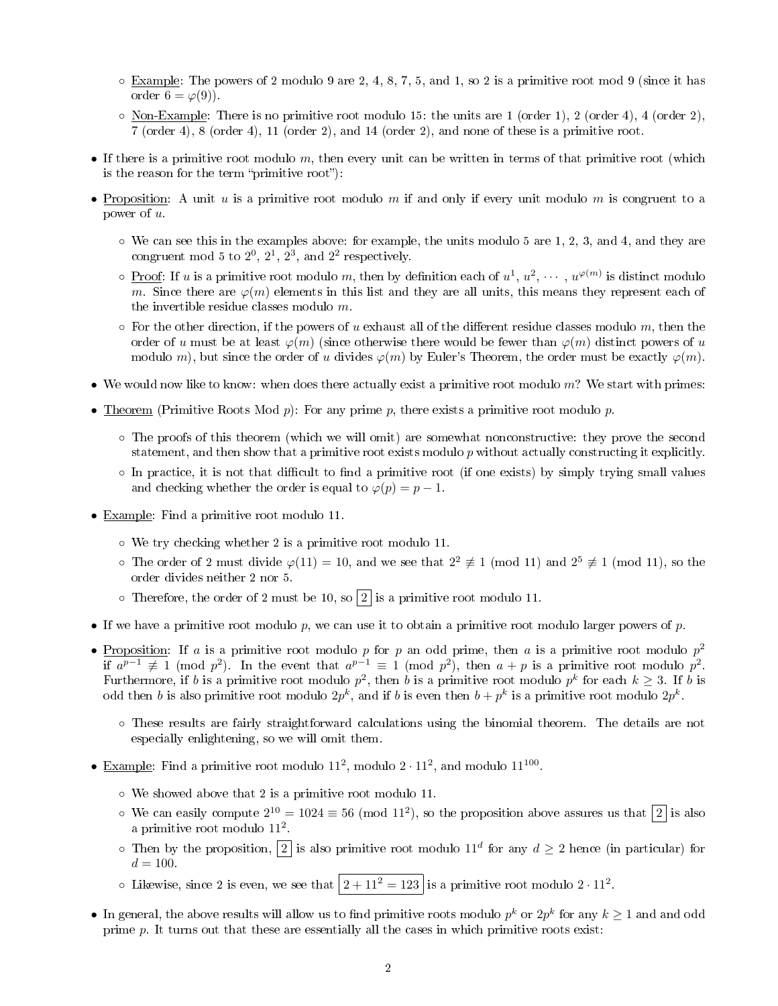- $\circ$  Example: The powers of 2 modulo 9 are 2, 4, 8, 7, 5, and 1, so 2 is a primitive root mod 9 (since it has order  $6 = \varphi(9)$ .
- Non-Example: There is no primitive root modulo 15: the units are 1 (order 1), 2 (order 4), 4 (order 2), 7 (order 4), 8 (order 4), 11 (order 2), and 14 (order 2), and none of these is a primitive root.
- If there is a primitive root modulo  $m$ , then every unit can be written in terms of that primitive root (which is the reason for the term "primitive root"):
- Proposition: A unit u is a primitive root modulo m if and only if every unit modulo m is congruent to a power of u.
	- $\circ$  We can see this in the examples above: for example, the units modulo 5 are 1, 2, 3, and 4, and they are congruent mod 5 to  $2^0$ ,  $2^1$ ,  $2^3$ , and  $2^2$  respectively.
	- $\circ$  Proof: If u is a primitive root modulo m, then by definition each of  $u^1, u^2, \cdots, u^{\varphi(m)}$  is distinct modulo m. Since there are  $\varphi(m)$  elements in this list and they are all units, this means they represent each of the invertible residue classes modulo m.
	- $\circ$  For the other direction, if the powers of u exhaust all of the different residue classes modulo m, then the order of u must be at least  $\varphi(m)$  (since otherwise there would be fewer than  $\varphi(m)$  distinct powers of u modulo m), but since the order of u divides  $\varphi(m)$  by Euler's Theorem, the order must be exactly  $\varphi(m)$ .
- We would now like to know: when does there actually exist a primitive root modulo  $m$ ? We start with primes:
- Theorem (Primitive Roots Mod  $p$ ): For any prime  $p$ , there exists a primitive root modulo  $p$ .
	- The proofs of this theorem (which we will omit) are somewhat nonconstructive: they prove the second statement, and then show that a primitive root exists modulo p without actually constructing it explicitly.
	- $\circ$  In practice, it is not that difficult to find a primitive root (if one exists) by simply trying small values and checking whether the order is equal to  $\varphi(p) = p - 1$ .
- Example: Find a primitive root modulo 11.
	- We try checking whether 2 is a primitive root modulo 11.
	- The order of 2 must divide  $\varphi(11) = 10$ , and we see that  $2^2 \not\equiv 1 \pmod{11}$  and  $2^5 \not\equiv 1 \pmod{11}$ , so the order divides neither 2 nor 5.
	- $\circ$  Therefore, the order of 2 must be 10, so  $\boxed{2}$  is a primitive root modulo 11.
- If we have a primitive root modulo p, we can use it to obtain a primitive root modulo larger powers of p.
- Proposition: If a is a primitive root modulo p for p an odd prime, then a is a primitive root modulo  $p^2$ if  $a^{p-1} \not\equiv 1 \pmod{p^2}$ . In the event that  $a^{p-1} \equiv 1 \pmod{p^2}$ , then  $a+p$  is a primitive root modulo  $p^2$ . Furthermore, if b is a primitive root modulo  $p^2$ , then b is a primitive root modulo  $p^k$  for each  $k \geq 3$ . If b is odd then b is also primitive root modulo  $2p^k$ , and if b is even then  $b + p^k$  is a primitive root modulo  $2p^k$ .
	- These results are fairly straightforward calculations using the binomial theorem. The details are not especially enlightening, so we will omit them.
- Example: Find a primitive root modulo  $11^2$ , modulo  $2 \cdot 11^2$ , and modulo  $11^{100}$ .
	- We showed above that 2 is a primitive root modulo 11.
	- $\circ$  We can easily compute  $2^{10} = 1024 \equiv 56 \pmod{11^2}$ , so the proposition above assures us that  $|2|$  is also a primitive root modulo 11<sup>2</sup>.
	- $\circ$  Then by the proposition,  $|2|$  is also primitive root modulo 11<sup>d</sup> for any  $d \geq 2$  hence (in particular) for  $d = 100.$
	- $\circ$  Likewise, since 2 is even, we see that  $\left|2+11^2=123\right|$  is a primitive root modulo  $2 \cdot 11^2$ .
- In general, the above results will allow us to find primitive roots modulo  $p^k$  or  $2p^k$  for any  $k\geq 1$  and and odd prime p. It turns out that these are essentially all the cases in which primitive roots exist: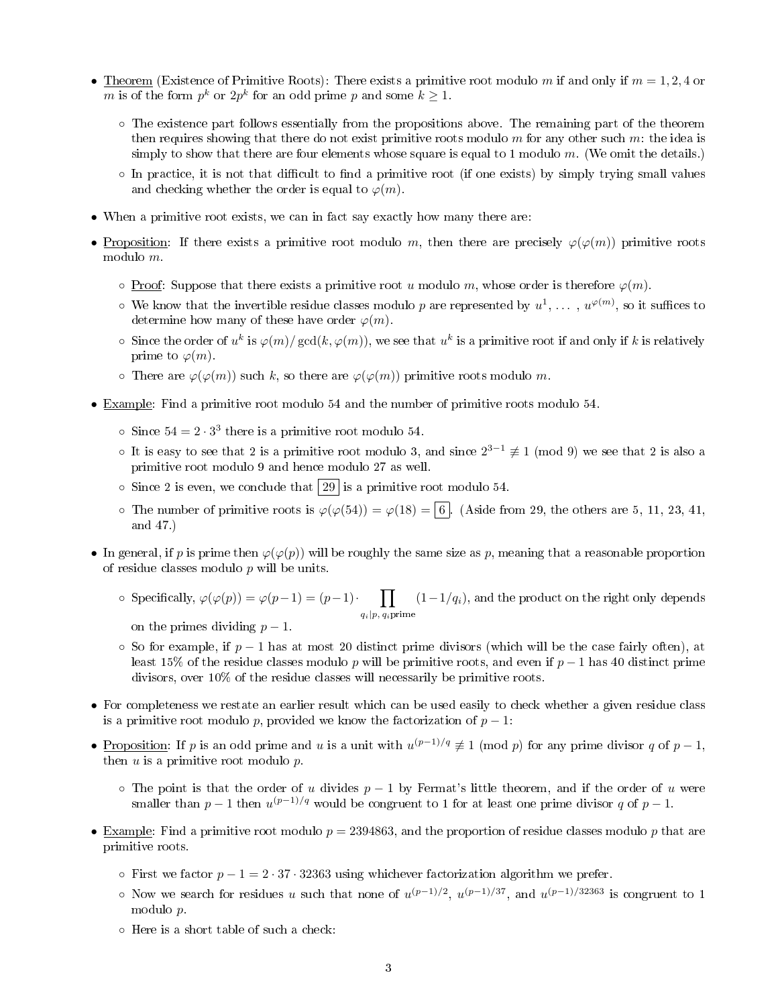- Theorem (Existence of Primitive Roots): There exists a primitive root modulo m if and only if  $m = 1, 2, 4$  or m is of the form  $p^k$  or  $2p^k$  for an odd prime p and some  $k \geq 1$ .
	- The existence part follows essentially from the propositions above. The remaining part of the theorem then requires showing that there do not exist primitive roots modulo  $m$  for any other such  $m$ : the idea is simply to show that there are four elements whose square is equal to 1 modulo  $m$ . (We omit the details.)
	- $\circ$  In practice, it is not that difficult to find a primitive root (if one exists) by simply trying small values and checking whether the order is equal to  $\varphi(m)$ .
- When a primitive root exists, we can in fact say exactly how many there are:
- Proposition: If there exists a primitive root modulo m, then there are precisely  $\varphi(\varphi(m))$  primitive roots modulo m.
	- $\circ$  Proof: Suppose that there exists a primitive root u modulo m, whose order is therefore  $\varphi(m)$ .
	- $\circ$  We know that the invertible residue classes modulo  $p$  are represented by  $u^1,\,\ldots\,,\,u^{\varphi(m)},$  so it suffices to determine how many of these have order  $\varphi(m)$ .
	- $\circ$  Since the order of  $u^k$  is  $\varphi(m)/\gcd(k,\varphi(m))$ , we see that  $u^k$  is a primitive root if and only if k is relatively prime to  $\varphi(m)$ .
	- $\circ$  There are  $\varphi(\varphi(m))$  such k, so there are  $\varphi(\varphi(m))$  primitive roots modulo m.
- Example: Find a primitive root modulo 54 and the number of primitive roots modulo 54.
	- $\circ$  Since  $54 = 2 \cdot 3^3$  there is a primitive root modulo 54.
	- It is easy to see that 2 is a primitive root modulo 3, and since  $2^{3-1}$   $\not\equiv$  1 (mod 9) we see that 2 is also a primitive root modulo 9 and hence modulo 27 as well.
	- $\circ$  Since 2 is even, we conclude that  $29$  is a primitive root modulo 54.
	- $\circ$  The number of primitive roots is  $\varphi(\varphi(54)) = \varphi(18) = 6$ . (Aside from 29, the others are 5, 11, 23, 41, and 47.)
- In general, if p is prime then  $\varphi(\varphi(p))$  will be roughly the same size as p, meaning that a reasonable proportion of residue classes modulo  $p$  will be units.
	- o Specifically,  $\varphi(\varphi(p)) = \varphi(p-1) = (p-1)$   $\cdot$   $\cdot$   $\cdot$   $\cdot$   $\cdot$   $(1-1/q_i)$ , and the product on the right only depends  $q_i|p, q_i$ prime
		- on the primes dividing  $p-1$ .
	- ⊙ So for example, if  $p-1$  has at most 20 distinct prime divisors (which will be the case fairly often), at least 15% of the residue classes modulo p will be primitive roots, and even if  $p-1$  has 40 distinct prime divisors, over 10% of the residue classes will necessarily be primitive roots.
- For completeness we restate an earlier result which can be used easily to check whether a given residue class is a primitive root modulo p, provided we know the factorization of  $p-1$ :
- Proposition: If p is an odd prime and u is a unit with  $u^{(p-1)/q} \not\equiv 1 \pmod{p}$  for any prime divisor q of  $p-1$ , then  $u$  is a primitive root modulo  $p$ .
	- $\circ$  The point is that the order of u divides  $p 1$  by Fermat's little theorem, and if the order of u were smaller than  $p-1$  then  $u^{(p-1)/q}$  would be congruent to 1 for at least one prime divisor q of  $p-1$ .
- Example: Find a primitive root modulo  $p = 2394863$ , and the proportion of residue classes modulo p that are primitive roots.
	- $\circ$  First we factor  $p 1 = 2 \cdot 37 \cdot 32363$  using whichever factorization algorithm we prefer.
	- ∘ Now we search for residues u such that none of  $u^{(p-1)/2}$ ,  $u^{(p-1)/37}$ , and  $u^{(p-1)/32363}$  is congruent to 1 modulo p.
	- Here is a short table of such a check: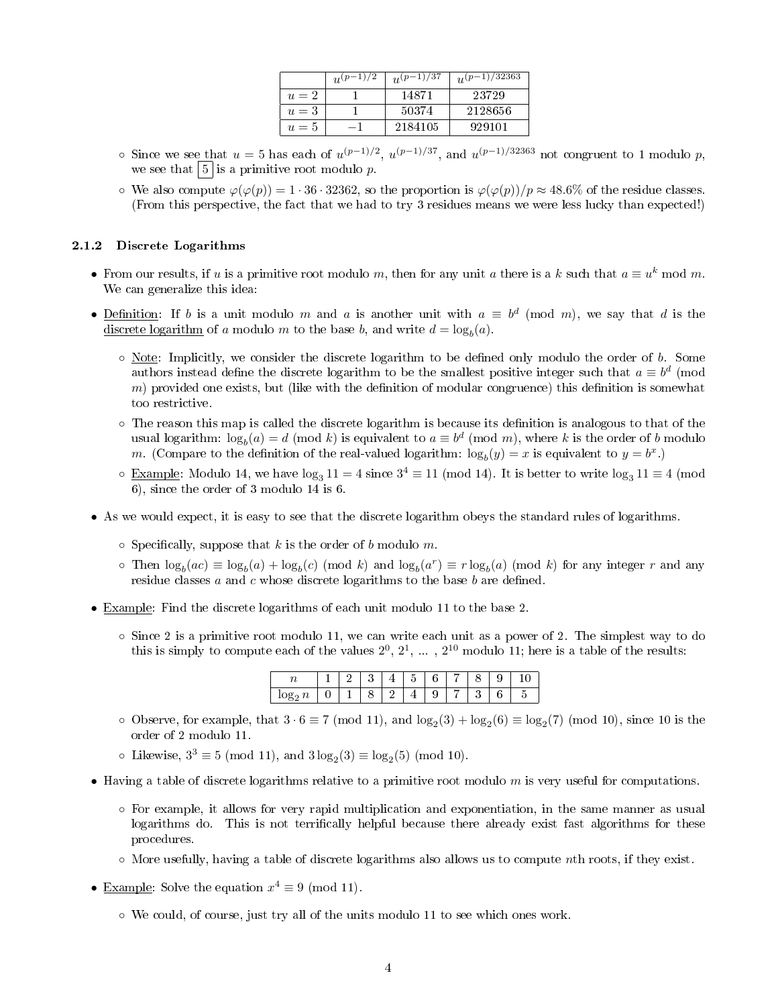|       | 1)/2<br>$n(p-$ | $u^{(p-1)/37}$ | $u^{(p-1)/32363}$ |
|-------|----------------|----------------|-------------------|
| $u=2$ |                | 14871          | 23729             |
| $u=3$ |                | 50374          | 2128656           |
| $u=5$ |                | 2184105        | 929101            |

- ∘ Since we see that  $u = 5$  has each of  $u^{(p-1)/2}$ ,  $u^{(p-1)/37}$ , and  $u^{(p-1)/32363}$  not congruent to 1 modulo p, we see that  $\vert 5 \vert$  is a primitive root modulo p.
- $\circ$  We also compute  $\varphi(\varphi(p)) = 1 \cdot 36 \cdot 32362$ , so the proportion is  $\varphi(\varphi(p))/p \approx 48.6\%$  of the residue classes. (From this perspective, the fact that we had to try 3 residues means we were less lucky than expected!)

#### 2.1.2 Discrete Logarithms

- From our results, if u is a primitive root modulo m, then for any unit a there is a k such that  $a \equiv u^k \mod m$ . We can generalize this idea:
- Definition: If b is a unit modulo m and a is another unit with  $a \equiv b^d \pmod{m}$ , we say that d is the discrete logarithm of a modulo m to the base b, and write  $d = \log_b(a)$ .
	- $\circ$  Note: Implicitly, we consider the discrete logarithm to be defined only modulo the order of b. Some authors instead define the discrete logarithm to be the smallest positive integer such that  $a \equiv b^d \pmod{d}$ m) provided one exists, but (like with the definition of modular congruence) this definition is somewhat too restrictive.
	- The reason this map is called the discrete logarithm is because its denition is analogous to that of the usual logarithm:  $\log_b(a) = d \pmod k$  is equivalent to  $a \equiv b^d \pmod m$ , where  $k$  is the order of  $b$  modulo m. (Compare to the definition of the real-valued logarithm:  $\log_b(y) = x$  is equivalent to  $y = b^x$ .)
	- $\circ$  Example: Modulo 14, we have  $\log_3 11 = 4$  since  $3^4 \equiv 11 \pmod{14}$ . It is better to write  $\log_3 11 \equiv 4 \pmod{14}$ 6), since the order of 3 modulo 14 is 6.
- As we would expect, it is easy to see that the discrete logarithm obeys the standard rules of logarithms.
	- $\circ$  Specifically, suppose that k is the order of b modulo m.
	- $\infty$  Then  $\log_b(ac) \equiv \log_b(a) + \log_b(c)$  (mod k) and  $\log_b(a^r) \equiv r \log_b(a)$  (mod k) for any integer r and any residue classes  $a$  and  $c$  whose discrete logarithms to the base  $b$  are defined.
- Example: Find the discrete logarithms of each unit modulo 11 to the base 2.
	- Since 2 is a primitive root modulo 11, we can write each unit as a power of 2. The simplest way to do this is simply to compute each of the values  $2^0$ ,  $2^1$ , ...,  $2^{10}$  modulo 11; here is a table of the results:

|    |  |  | ٠ |  |  |                          |
|----|--|--|---|--|--|--------------------------|
| ⊥∪ |  |  |   |  |  | $\overline{\phantom{0}}$ |

- $\circ$  Observe, for example, that  $3 \cdot 6 \equiv 7 \pmod{11}$ , and  $\log_2(3) + \log_2(6) \equiv \log_2(7) \pmod{10}$ , since 10 is the order of 2 modulo 11.
- Likewise,  $3^3 \equiv 5 \pmod{11}$ , and  $3\log_2(3) \equiv \log_2(5) \pmod{10}$ .
- Having a table of discrete logarithms relative to a primitive root modulo  $m$  is very useful for computations.
	- For example, it allows for very rapid multiplication and exponentiation, in the same manner as usual logarithms do. This is not terrifically helpful because there already exist fast algorithms for these procedures.
	- More usefully, having a table of discrete logarithms also allows us to compute nth roots, if they exist.
- Example: Solve the equation  $x^4 \equiv 9 \pmod{11}$ .
	- We could, of course, just try all of the units modulo 11 to see which ones work.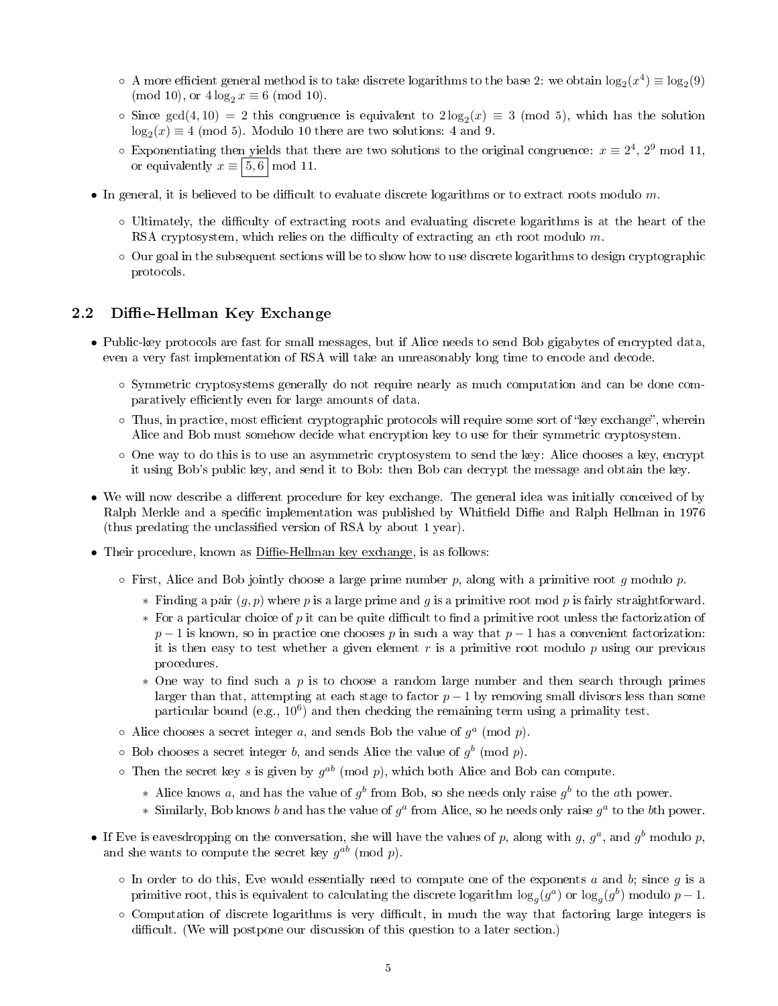- $\circ$  A more efficient general method is to take discrete logarithms to the base 2: we obtain  $\log_2(x^4) \equiv \log_2(9)$ (mod 10), or  $4 \log_2 x \equiv 6 \pmod{10}$ .
- $\circ$  Since gcd(4,10) = 2 this congruence is equivalent to  $2\log_2(x) \equiv 3 \pmod{5}$ , which has the solution  $\log_2(x) \equiv 4 \pmod{5}$ . Modulo 10 there are two solutions: 4 and 9.
- $\circ$  Exponentiating then yields that there are two solutions to the original congruence:  $x \equiv 2^4$ ,  $2^9$  mod 11, or equivalently  $x \equiv 5, 6 \mid \text{mod } 11$ .
- In general, it is believed to be difficult to evaluate discrete logarithms or to extract roots modulo  $m$ .
	- Ultimately, the diculty of extracting roots and evaluating discrete logarithms is at the heart of the RSA cryptosystem, which relies on the difficulty of extracting an eth root modulo  $m$ .
	- Our goal in the subsequent sections will be to show how to use discrete logarithms to design cryptographic protocols.

## 2.2 Diffie-Hellman Key Exchange

- Public-key protocols are fast for small messages, but if Alice needs to send Bob gigabytes of encrypted data, even a very fast implementation of RSA will take an unreasonably long time to encode and decode.
	- Symmetric cryptosystems generally do not require nearly as much computation and can be done comparatively efficiently even for large amounts of data.
	- Thus, in practice, most efficient cryptographic protocols will require some sort of "key exchange", wherein Alice and Bob must somehow decide what encryption key to use for their symmetric cryptosystem.
	- One way to do this is to use an asymmetric cryptosystem to send the key: Alice chooses a key, encrypt it using Bob's public key, and send it to Bob: then Bob can decrypt the message and obtain the key.
- We will now describe a different procedure for key exchange. The general idea was initially conceived of by Ralph Merkle and a specific implementation was published by Whitfield Diffie and Ralph Hellman in 1976 (thus predating the unclassified version of RSA by about 1 year).
- Their procedure, known as Diffie-Hellman key exchange, is as follows:
	- $\circ$  First, Alice and Bob jointly choose a large prime number p, along with a primitive root g modulo p.
		- $*$  Finding a pair  $(g, p)$  where p is a large prime and g is a primitive root mod p is fairly straightforward.
		- $*$  For a particular choice of p it can be quite difficult to find a primitive root unless the factorization of  $p-1$  is known, so in practice one chooses p in such a way that  $p-1$  has a convenient factorization: it is then easy to test whether a given element  $r$  is a primitive root modulo  $p$  using our previous procedures.
		- $*$  One way to find such a p is to choose a random large number and then search through primes larger than that, attempting at each stage to factor  $p-1$  by removing small divisors less than some particular bound (e.g.,  $10^6$ ) and then checking the remaining term using a primality test.
	- $\circ$  Alice chooses a secret integer a, and sends Bob the value of  $g^a$  (mod p).
	- $\circ$  Bob chooses a secret integer b, and sends Alice the value of  $g^b$  (mod p).
	- $\circ$  Then the secret key s is given by  $g^{ab}$  (mod p), which both Alice and Bob can compute.
		- \* Alice knows a, and has the value of  $g^b$  from Bob, so she needs only raise  $g^b$  to the ath power.
		- \* Similarly, Bob knows b and has the value of  $g^a$  from Alice, so he needs only raise  $g^a$  to the bth power.
- If Eve is eavesdropping on the conversation, she will have the values of p, along with g,  $g^a$ , and  $g^b$  modulo p, and she wants to compute the secret key  $g^{ab}$  (mod p).
	- $\circ$  In order to do this, Eve would essentially need to compute one of the exponents a and b; since g is a primitive root, this is equivalent to calculating the discrete logarithm  $\log_g(g^a)$  or  $\log_g(g^b)$  modulo  $p-1$ .
	- $\circ$  Computation of discrete logarithms is very difficult, in much the way that factoring large integers is difficult. (We will postpone our discussion of this question to a later section.)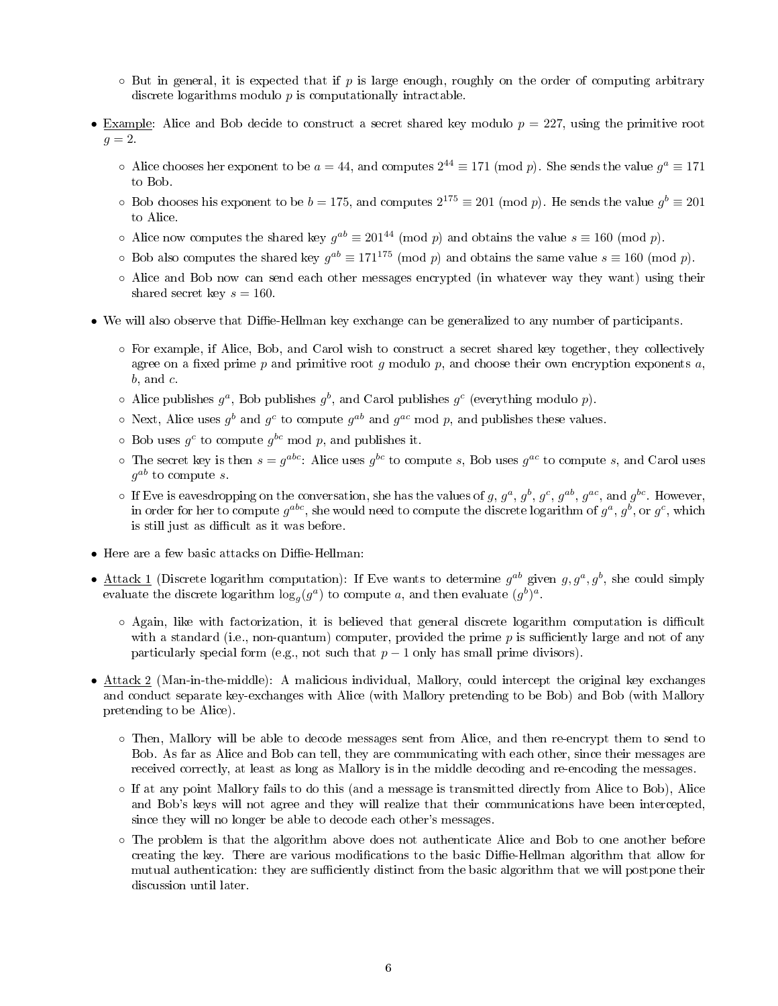- $\circ$  But in general, it is expected that if p is large enough, roughly on the order of computing arbitrary discrete logarithms modulo p is computationally intractable.
- Example: Alice and Bob decide to construct a secret shared key modulo  $p = 227$ , using the primitive root  $g = 2$ .
	- $\circ$  Alice chooses her exponent to be  $a = 44$ , and computes  $2^{44} \equiv 171 \pmod{p}$ . She sends the value  $g^a \equiv 171$ to Bob.
	- $\circ$  Bob chooses his exponent to be  $b = 175$ , and computes  $2^{175} \equiv 201 \pmod{p}$ . He sends the value  $g^b \equiv 201$ to Alice.
	- $\circ$  Alice now computes the shared key  $g^{ab} \equiv 201^{44} \pmod{p}$  and obtains the value  $s \equiv 160 \pmod{p}$ .
	- ⊙ Bob also computes the shared key  $g^{ab} \equiv 171^{175} \pmod{p}$  and obtains the same value  $s \equiv 160 \pmod{p}$ .
	- Alice and Bob now can send each other messages encrypted (in whatever way they want) using their shared secret key  $s = 160$ .
- We will also observe that Diffie-Hellman key exchange can be generalized to any number of participants.
	- For example, if Alice, Bob, and Carol wish to construct a secret shared key together, they collectively agree on a fixed prime p and primitive root g modulo p, and choose their own encryption exponents  $a$ ,  $b$ , and  $c$ .
	- $\circ$  Alice publishes  $g^a$ , Bob publishes  $g^b$ , and Carol publishes  $g^c$  (everything modulo p).
	- $\circ$  Next, Alice uses  $g^b$  and  $g^c$  to compute  $g^{ab}$  and  $g^{ac}$  mod p, and publishes these values.
	- $\circ$  Bob uses  $g^c$  to compute  $g^{bc}$  mod p, and publishes it.
	- $\circ$  The secret key is then  $s = g^{abc}$ : Alice uses  $g^{bc}$  to compute s, Bob uses  $g^{ac}$  to compute s, and Carol uses  $g^{ab}$  to compute  $s.$
	- $\circ$  If Eve is eavesdropping on the conversation, she has the values of g,  $g^a$ ,  $g^b$ ,  $g^c$ ,  $g^{ab}$ ,  $g^{ac}$ , and  $g^{bc}$ . However, in order for her to compute  $g^{abc},$  she would need to compute the discrete logarithm of  $g^a,\,g^b,$  or  $g^c,$  which is still just as difficult as it was before.
- Here are a few basic attacks on Diffie-Hellman:
- Attack 1 (Discrete logarithm computation): If Eve wants to determine  $g^{ab}$  given  $g, g^a, g^b$ , she could simply evaluate the discrete logarithm  $\log_g(g^a)$  to compute a, and then evaluate  $(g^b)^a$ .
	- $\circ$  Again, like with factorization, it is believed that general discrete logarithm computation is difficult with a standard (i.e., non-quantum) computer, provided the prime  $p$  is sufficiently large and not of any particularly special form (e.g., not such that  $p-1$  only has small prime divisors).
- Attack 2 (Man-in-the-middle): A malicious individual, Mallory, could intercept the original key exchanges and conduct separate key-exchanges with Alice (with Mallory pretending to be Bob) and Bob (with Mallory pretending to be Alice).
	- Then, Mallory will be able to decode messages sent from Alice, and then re-encrypt them to send to Bob. As far as Alice and Bob can tell, they are communicating with each other, since their messages are received correctly, at least as long as Mallory is in the middle decoding and re-encoding the messages.
	- If at any point Mallory fails to do this (and a message is transmitted directly from Alice to Bob), Alice and Bob's keys will not agree and they will realize that their communications have been intercepted, since they will no longer be able to decode each other's messages.
	- The problem is that the algorithm above does not authenticate Alice and Bob to one another before creating the key. There are various modifications to the basic Diffie-Hellman algorithm that allow for mutual authentication: they are sufficiently distinct from the basic algorithm that we will postpone their discussion until later.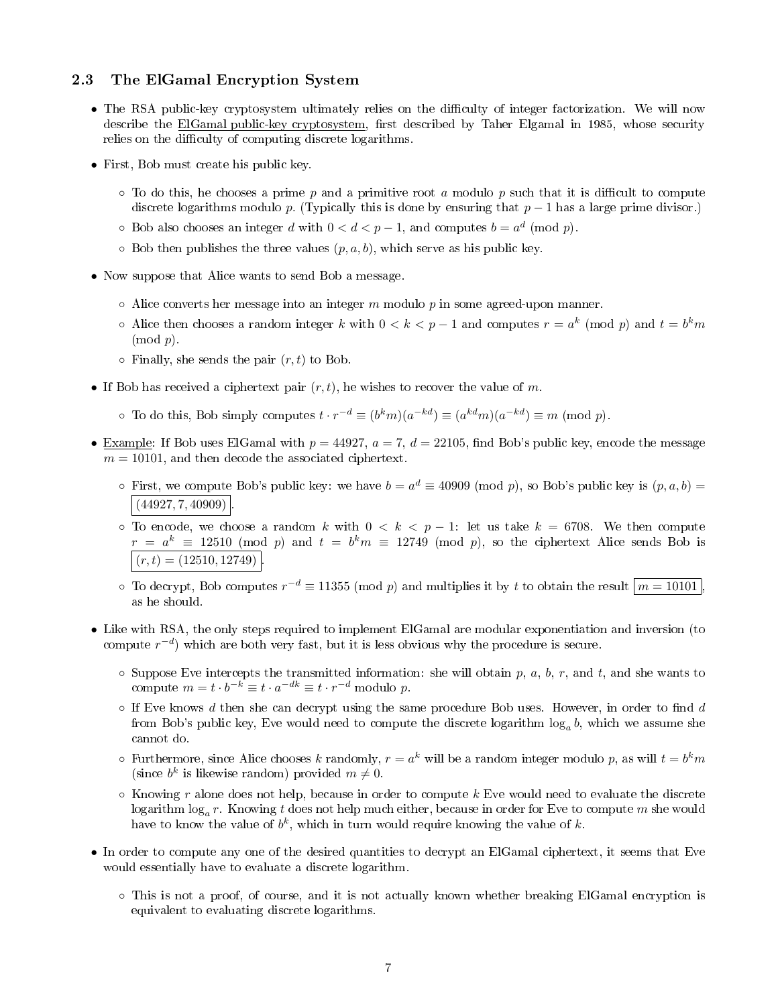#### 2.3 The ElGamal Encryption System

- The RSA public-key cryptosystem ultimately relies on the difficulty of integer factorization. We will now describe the ElGamal public-key cryptosystem, first described by Taher Elgamal in 1985, whose security relies on the difficulty of computing discrete logarithms.
- First, Bob must create his public key.
	- $\circ$  To do this, he chooses a prime p and a primitive root a modulo p such that it is difficult to compute discrete logarithms modulo p. (Typically this is done by ensuring that  $p-1$  has a large prime divisor.)
	- Bob also chooses an integer d with  $0 < d < p-1$ , and computes  $b = a^d \pmod{p}$ .
	- $\circ$  Bob then publishes the three values  $(p, a, b)$ , which serve as his public key.
- Now suppose that Alice wants to send Bob a message.
	- $\circ$  Alice converts her message into an integer m modulo p in some agreed-upon manner.
	- $\circ$  Alice then chooses a random integer k with  $0 < k < p 1$  and computes  $r = a^k \pmod{p}$  and  $t = b^k m$  $(mod p).$
	- $\circ$  Finally, she sends the pair  $(r, t)$  to Bob.
- If Bob has received a ciphertext pair  $(r, t)$ , he wishes to recover the value of m.
	- To do this, Bob simply computes  $t \cdot r^{-d} \equiv (b^k m)(a^{-kd}) \equiv (a^{kd} m)(a^{-kd}) \equiv m \pmod{p}$ .
- Example: If Bob uses ElGamal with  $p = 44927$ ,  $a = 7$ ,  $d = 22105$ , find Bob's public key, encode the message  $m = 10101$ , and then decode the associated ciphertext.
	- $\circ$  First, we compute Bob's public key: we have  $b = a^d \equiv 40909 \pmod{p}$ , so Bob's public key is  $(p, a, b) =$  $(44927, 7, 40909)$
	- To encode, we choose a random k with  $0 \le k \le p-1$ : let us take  $k = 6708$ . We then compute  $r = a^k \equiv 12510 \pmod{p}$  and  $t = b^k m \equiv 12749 \pmod{p}$ , so the ciphertext Alice sends Bob is  $(r, t) = (12510, 12749)$
	- $\circ$  To decrypt, Bob computes  $r^{-d} \equiv 11355 \pmod{p}$  and multiplies it by t to obtain the result  $\mid m = 10101 \mid$ as he should.
- Like with RSA, the only steps required to implement ElGamal are modular exponentiation and inversion (to compute  $r^{-d}$ ) which are both very fast, but it is less obvious why the procedure is secure.
	- $\circ$  Suppose Eve intercepts the transmitted information: she will obtain p, a, b, r, and t, and she wants to compute  $m = t \cdot b^{-k} \equiv t \cdot a^{-dk} \equiv t \cdot r^{-d}$  modulo p.
	- $\circ$  If Eve knows d then she can decrypt using the same procedure Bob uses. However, in order to find d from Bob's public key, Eve would need to compute the discrete logarithm  $\log_a b$ , which we assume she cannot do.
	- $\circ$  Furthermore, since Alice chooses  $k$  randomly,  $r=a^k$  will be a random integer modulo  $p$ , as will  $t=b^km$ (since  $b^k$  is likewise random) provided  $m \neq 0$ .
	- $\circ$  Knowing r alone does not help, because in order to compute k Eve would need to evaluate the discrete  $\log_{a}r$ . Knowing  $t$  does not help much either, because in order for Eve to compute  $m$  she would have to know the value of  $b^k$ , which in turn would require knowing the value of  $k$ .
- In order to compute any one of the desired quantities to decrypt an ElGamal ciphertext, it seems that Eve would essentially have to evaluate a discrete logarithm.
	- This is not a proof, of course, and it is not actually known whether breaking ElGamal encryption is equivalent to evaluating discrete logarithms.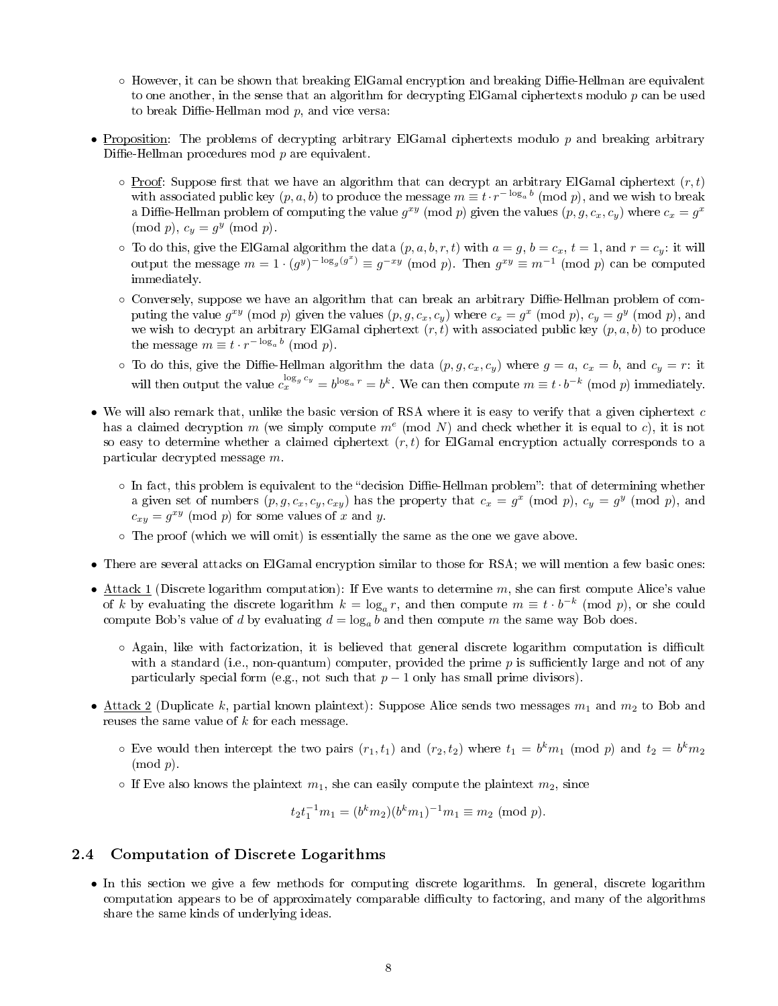- $\circ$  However, it can be shown that breaking ElGamal encryption and breaking Diffie-Hellman are equivalent to one another, in the sense that an algorithm for decrypting ElGamal ciphertexts modulo  $p$  can be used to break Diffie-Hellman mod  $p$ , and vice versa:
- Proposition: The problems of decrypting arbitrary ElGamal ciphertexts modulo  $p$  and breaking arbitrary Diffie-Hellman procedures mod  $p$  are equivalent.
	- $\circ$  Proof: Suppose first that we have an algorithm that can decrypt an arbitrary ElGamal ciphertext  $(r, t)$ with associated public key  $(p, a, b)$  to produce the message  $m \equiv t \cdot r^{-\log_a b} \pmod{p},$  and we wish to break a Diffie-Hellman problem of computing the value  $g^{xy} \pmod{p}$  given the values  $(p, g, c_x, c_y)$  where  $c_x = g^x$  $\pmod{p}$ ,  $c_y = g^y \pmod{p}$ .
	- $\circ$  To do this, give the ElGamal algorithm the data  $(p, a, b, r, t)$  with  $a = g, b = c_x, t = 1$ , and  $r = c_y$ : it will output the message  $m = 1 \cdot (g^y)^{-\log_g(g^x)} \equiv g^{-xy} \pmod{p}$ . Then  $g^{xy} \equiv m^{-1} \pmod{p}$  can be computed immediately.
	- Conversely, suppose we have an algorithm that can break an arbitrary Diffie-Hellman problem of computing the value  $g^{xy} \pmod{p}$  given the values  $(p, g, c_x, c_y)$  where  $c_x = g^x \pmod{p}$ ,  $c_y = g^y \pmod{p}$ , and we wish to decrypt an arbitrary ElGamal ciphertext  $(r, t)$  with associated public key  $(p, a, b)$  to produce the message  $m \equiv t \cdot r^{-\log_a b} \pmod{p}$ .
	- $\circ$  To do this, give the Diffie-Hellman algorithm the data  $(p, g, c_x, c_y)$  where  $g = a, c_x = b$ , and  $c_y = r$ : it will then output the value  $c_x^{\log_g c_y} = b^{\log_a r} = b^k$ . We can then compute  $m \equiv t \cdot b^{-k} \pmod{p}$  immediately.
- We will also remark that, unlike the basic version of RSA where it is easy to verify that a given ciphertext  $c$ has a claimed decryption m (we simply compute  $m^e$  (mod N) and check whether it is equal to c), it is not so easy to determine whether a claimed ciphertext  $(r, t)$  for ElGamal encryption actually corresponds to a particular decrypted message m.
	- $\circ$  In fact, this problem is equivalent to the "decision Diffie-Hellman problem": that of determining whether a given set of numbers  $(p, g, c_x, c_y, c_{xy})$  has the property that  $c_x = g^x \pmod{p}$ ,  $c_y = g^y \pmod{p}$ , and  $c_{xy} = g^{xy} \pmod{p}$  for some values of x and y.
	- The proof (which we will omit) is essentially the same as the one we gave above.
- There are several attacks on ElGamal encryption similar to those for RSA; we will mention a few basic ones:
- Attack 1 (Discrete logarithm computation): If Eve wants to determine m, she can first compute Alice's value of k by evaluating the discrete logarithm  $k = \log_a r$ , and then compute  $m \equiv t \cdot b^{-k} \pmod{p}$ , or she could compute Bob's value of d by evaluating  $d = \log_a b$  and then compute m the same way Bob does.
	- $\circ$  Again, like with factorization, it is believed that general discrete logarithm computation is difficult with a standard (i.e., non-quantum) computer, provided the prime  $p$  is sufficiently large and not of any particularly special form (e.g., not such that  $p-1$  only has small prime divisors).
- Attack 2 (Duplicate k, partial known plaintext): Suppose Alice sends two messages  $m_1$  and  $m_2$  to Bob and reuses the same value of k for each message.
	- $\circ$  Eve would then intercept the two pairs  $(r_1, t_1)$  and  $(r_2, t_2)$  where  $t_1 = b^k m_1 \pmod{p}$  and  $t_2 = b^k m_2$  $\pmod{p}$ .
	- If Eve also knows the plaintext  $m_1$ , she can easily compute the plaintext  $m_2$ , since

$$
t_2t_1^{-1}m_1 = (b^km_2)(b^km_1)^{-1}m_1 \equiv m_2 \pmod{p}.
$$

#### 2.4 Computation of Discrete Logarithms

• In this section we give a few methods for computing discrete logarithms. In general, discrete logarithm computation appears to be of approximately comparable difficulty to factoring, and many of the algorithms share the same kinds of underlying ideas.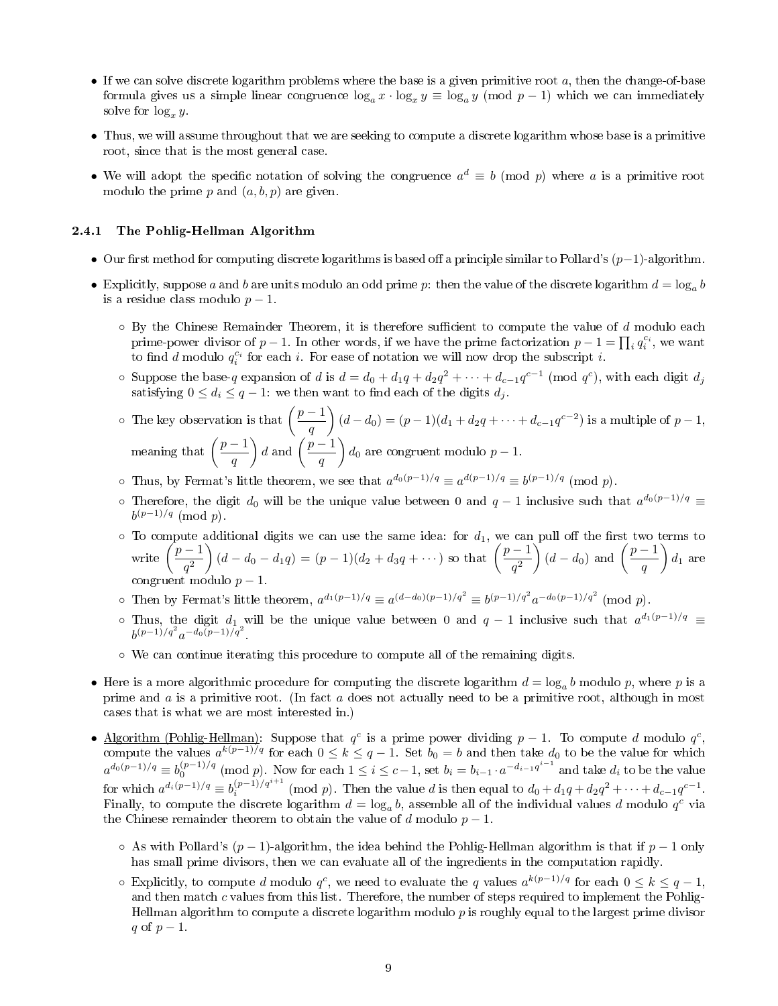- If we can solve discrete logarithm problems where the base is a given primitive root  $a$ , then the change-of-base formula gives us a simple linear congruence  $\log_a x \cdot \log_x y \equiv \log_a y \pmod{p-1}$  which we can immediately solve for  $\log_x y$ .
- Thus, we will assume throughout that we are seeking to compute a discrete logarithm whose base is a primitive root, since that is the most general case.
- We will adopt the specific notation of solving the congruence  $a^d \equiv b \pmod{p}$  where a is a primitive root modulo the prime p and  $(a, b, p)$  are given.

#### 2.4.1 The Pohlig-Hellman Algorithm

- Our first method for computing discrete logarithms is based off a principle similar to Pollard's  $(p-1)$ -algorithm.
- Explicitly, suppose a and b are units modulo an odd prime p: then the value of the discrete logarithm  $d = \log_a b$ is a residue class modulo  $p-1$ .
	- $\circ$  By the Chinese Remainder Theorem, it is therefore sufficient to compute the value of d modulo each prime-power divisor of  $p-1$ . In other words, if we have the prime factorization  $p-1 = \prod_i q_i^{c_i}$ , we want to find d modulo  $q_i^{c_i}$  for each i. For ease of notation we will now drop the subscript i.
	- Suppose the base-q expansion of d is  $d = d_0 + d_1q + d_2q^2 + \cdots + d_{c-1}q^{c-1}$  (mod  $q^c$ ), with each digit  $d_j$ satisfying  $0 \leq d_i \leq q-1$ : we then want to find each of the digits  $d_i$ .
	- $\circ$  The key observation is that  $\left(\frac{p-1}{p}\right)$ q  $(d-d_0) = (p-1)(d_1 + d_2q + \cdots + d_{c-1}q^{c-2})$  is a multiple of  $p-1$ , meaning that  $\left(\frac{p-1}{p}\right)$ q  $\Big) d$  and  $\Big(\frac{p-1}{p-1}\Big)$ q  $\Big) d_0$  are congruent modulo  $p-1$ .
	- o Thus, by Fermat's little theorem, we see that  $a^{d_0(p-1)/q} \equiv a^{d(p-1)/q} \equiv b^{(p-1)/q} \pmod{p}$ .
	- ⊙ Therefore, the digit  $d_0$  will be the unique value between 0 and  $q-1$  inclusive such that  $a^{d_0(p-1)/q}$   $\equiv$  $b^{(p-1)/q} \pmod{p}.$
	- $\circ$  To compute additional digits we can use the same idea: for  $d_1$ , we can pull off the first two terms to write  $\left(\frac{p-1}{2}\right)$  $q^2$  $\left( d - d_0 - d_1 q \right) = (p - 1)(d_2 + d_3 q + \cdots)$  so that  $\left( \frac{p - 1}{q}\right)$  $q^2$  $\Big) (d - d_0)$  and  $\Big( \frac{p-1}{q} \Big)$ q  $\Big) d_1$  are congruent modulo  $p-1$ .
	- o Then by Fermat's little theorem,  $a^{d_1(p-1)/q} \equiv a^{(d-d_0)(p-1)/q^2} \equiv b^{(p-1)/q^2} a^{-d_0(p-1)/q^2} \pmod{p}$ .
	- o Thus, the digit  $d_1$  will be the unique value between 0 and  $q-1$  inclusive such that  $a^{d_1(p-1)/q}$  ≡  $b^{(p-1)/q^2}a^{-d_0(p-1)/q^2}$ .
	- We can continue iterating this procedure to compute all of the remaining digits.
- Here is a more algorithmic procedure for computing the discrete logarithm  $d = \log_a b$  modulo  $p$ , where  $p$  is a prime and  $a$  is a primitive root. (In fact  $a$  does not actually need to be a primitive root, although in most cases that is what we are most interested in.)
- Algorithm (Pohlig-Hellman): Suppose that  $q^c$  is a prime power dividing  $p-1$ . To compute d modulo  $q^c$ , compute the values  $a^{k(p-1)/q}$  for each  $0 \le k \le q-1$ . Set  $b_0 = b$  and then take  $d_0$  to be the value for which  $a^{d_0(p-1)/q} \equiv b_0^{(p-1)/q} \pmod{p}$ . Now for each  $1 \leq i \leq c-1$ , set  $b_i = b_{i-1} \cdot a^{-d_{i-1}q^{i-1}}$  and take  $d_i$  to be the value for which  $a^{d_i(p-1)/q} \equiv b_i^{(p-1)/q^{i+1}} \pmod{p}$ . Then the value d is then equal to  $d_0 + d_1q + d_2q^2 + \cdots + d_{c-1}q^{c-1}$ . Finally, to compute the discrete logarithm  $d = \log_a b$ , assemble all of the individual values d modulo  $q^c$  via the Chinese remainder theorem to obtain the value of d modulo  $p-1$ .
	- $\circ$  As with Pollard's (p − 1)-algorithm, the idea behind the Pohlig-Hellman algorithm is that if p − 1 only has small prime divisors, then we can evaluate all of the ingredients in the computation rapidly.
	- ∘ Explicitly, to compute d modulo  $q^c$ , we need to evaluate the q values  $a^{k(p-1)/q}$  for each  $0 \le k \le q-1$ , and then match  $c$  values from this list. Therefore, the number of steps required to implement the Pohlig-Hellman algorithm to compute a discrete logarithm modulo  $p$  is roughly equal to the largest prime divisor q of  $p-1$ .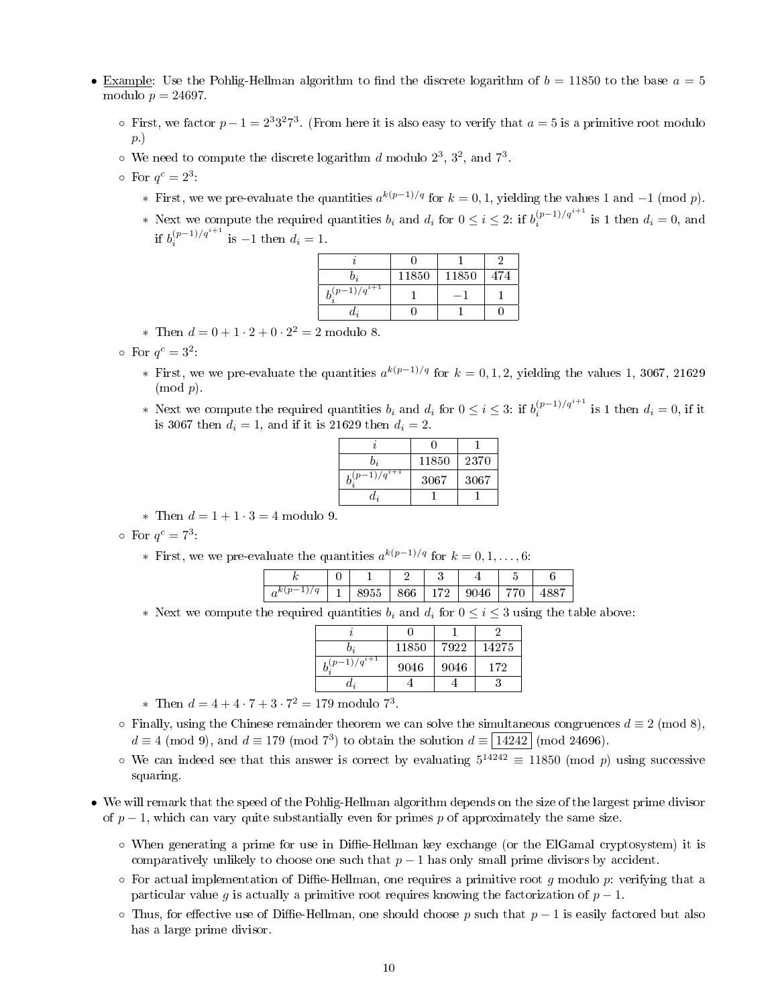- Example: Use the Pohlig-Hellman algorithm to find the discrete logarithm of  $b = 11850$  to the base  $a = 5$ modulo  $p = 24697$ .
	- o First, we factor  $p-1=2^33^27^3$ . (From here it is also easy to verify that  $a=5$  is a primitive root modulo p.)
	- $\circ$  We need to compute the discrete logarithm d modulo  $2^3$ ,  $3^2$ , and  $7^3$ .
	- $\circ$  For  $q^c = 2^3$ .
		- ∗ First, we we pre-evaluate the quantities  $a^{k(p-1)/q}$  for  $k = 0, 1$ , yielding the values 1 and  $-1 \pmod{p}$ .
		- ∗ Next we compute the required quantities  $b_i$  and  $d_i$  for  $0 \le i \le 2$ : if  $b_i^{(p-1)/q^{i+1}}$  is 1 then  $d_i = 0$ , and if  $b_i^{(p-1)/q^{i+1}}$  is -1 then  $d_i = 1$ .

| v;             | 11850 | 11850 | 474 |
|----------------|-------|-------|-----|
| $(-1)/q^{i+1}$ |       |       |     |
| $a_i$          |       |       |     |

\* Then  $d = 0 + 1 \cdot 2 + 0 \cdot 2^2 = 2$  modulo 8.

 $\circ$  For  $q^c = 3^2$ .

- ∗ First, we we pre-evaluate the quantities  $a^{k(p-1)/q}$  for  $k = 0, 1, 2$ , yielding the values 1, 3067, 21629  $\pmod{p}$ .
- ∗ Next we compute the required quantities  $b_i$  and  $d_i$  for  $0 \le i \le 3$ : if  $b_i^{(p-1)/q^{i+1}}$  is 1 then  $d_i = 0$ , if it is 3067 then  $d_i = 1$ , and if it is 21629 then  $d_i = 2$ .

| b;              | 11850 | 2370 |
|-----------------|-------|------|
| $(p-1)/q^{i+1}$ | 3067  | 3067 |
| $d_i$           |       |      |

∗ Then d = 1 + 1 · 3 = 4 modulo 9.

 $\circ$  For  $q^c = 7^3$ :

∗ First, we we pre-evaluate the quantities  $a^{k(p-1)/q}$  for  $k = 0, 1, ..., 6$ :

|          | ີ |    |    |   | - |  |
|----------|---|----|----|---|---|--|
| $\bm{u}$ |   | 'n | 70 | ч | ∼ |  |

∗ Next we compute the required quantities  $b_i$  and  $d_i$  for  $0 \leq i \leq 3$  using the table above:

| D;                  | 11850 | 7922 | 14275 |
|---------------------|-------|------|-------|
| $b^{(p-1)/q^{i+1}}$ | 9046  | 9046 | 172   |
| $a_i$               |       |      |       |

\* Then  $d = 4 + 4 \cdot 7 + 3 \cdot 7^2 = 179$  modulo 7<sup>3</sup>.

- $\circ$  Finally, using the Chinese remainder theorem we can solve the simultaneous congruences  $d \equiv 2 \pmod{8}$ ,  $d \equiv 4 \pmod{9}$ , and  $d \equiv 179 \pmod{7^3}$  to obtain the solution  $d \equiv 14242 \pmod{24696}$ .
- We can indeed see that this answer is correct by evaluating  $5^{14242} \equiv 11850 \pmod{p}$  using successive squaring.
- We will remark that the speed of the Pohlig-Hellman algorithm depends on the size of the largest prime divisor of  $p-1$ , which can vary quite substantially even for primes p of approximately the same size.
	- $\circ$  When generating a prime for use in Diffie-Hellman key exchange (or the ElGamal cryptosystem) it is comparatively unlikely to choose one such that  $p - 1$  has only small prime divisors by accident.
	- $\circ$  For actual implementation of Diffie-Hellman, one requires a primitive root g modulo p: verifying that a particular value g is actually a primitive root requires knowing the factorization of  $p-1$ .
	- $\circ$  Thus, for effective use of Diffie-Hellman, one should choose p such that  $p-1$  is easily factored but also has a large prime divisor.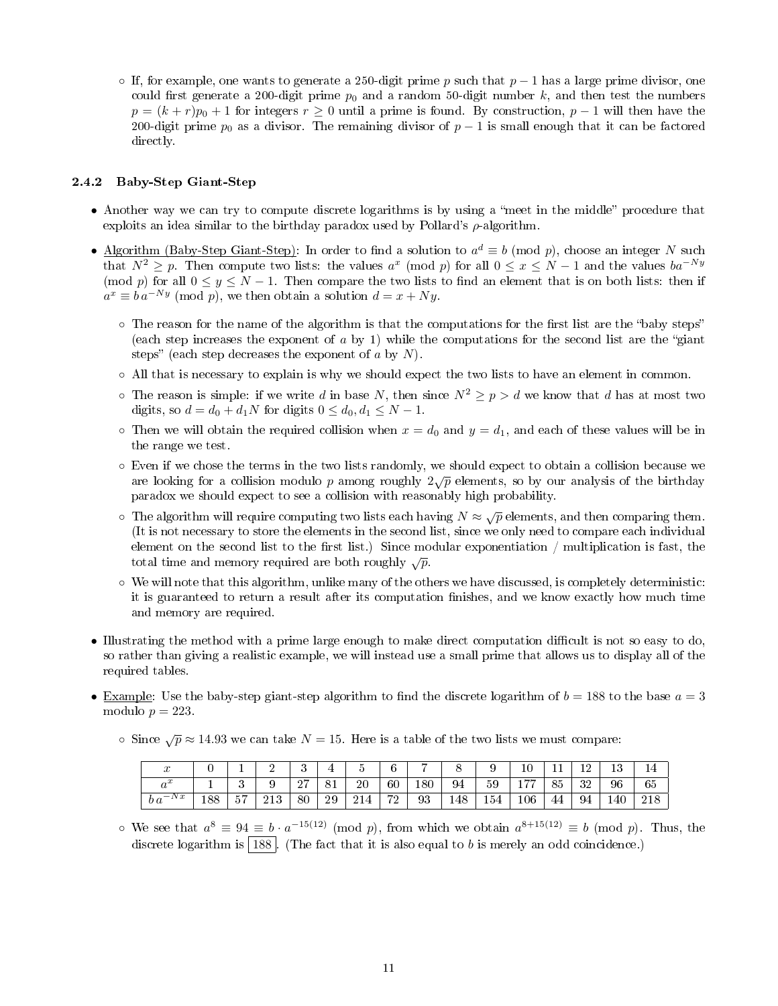○ If, for example, one wants to generate a 250-digit prime p such that  $p-1$  has a large prime divisor, one could first generate a 200-digit prime  $p_0$  and a random 50-digit number k, and then test the numbers  $p = (k + r)p_0 + 1$  for integers  $r \ge 0$  until a prime is found. By construction,  $p - 1$  will then have the 200-digit prime  $p_0$  as a divisor. The remaining divisor of  $p-1$  is small enough that it can be factored directly.

#### 2.4.2 Baby-Step Giant-Step

- Another way we can try to compute discrete logarithms is by using a "meet in the middle" procedure that exploits an idea similar to the birthday paradox used by Pollard's  $\rho$ -algorithm.
- Algorithm (Baby-Step Giant-Step): In order to find a solution to  $a^d \equiv b \pmod{p}$ , choose an integer N such that  $N^2 \geq p$ . Then compute two lists: the values  $a^x \pmod{p}$  for all  $0 \leq x \leq N-1$  and the values  $ba^{-Ny}$ (mod p) for all  $0 \le y \le N-1$ . Then compare the two lists to find an element that is on both lists: then if  $a^x \equiv b \, a^{-Ny} \pmod{p}$ , we then obtain a solution  $d = x + Ny$ .
	- $\circ$  The reason for the name of the algorithm is that the computations for the first list are the "baby steps" (each step increases the exponent of  $a$  by 1) while the computations for the second list are the "giant" steps" (each step decreases the exponent of  $a$  by  $N$ ).
	- All that is necessary to explain is why we should expect the two lists to have an element in common.
	- $\circ$  The reason is simple: if we write d in base N, then since  $N^2 \ge p > d$  we know that d has at most two digits, so  $d = d_0 + d_1 N$  for digits  $0 \leq d_0, d_1 \leq N - 1$ .
	- $\circ$  Then we will obtain the required collision when  $x = d_0$  and  $y = d_1$ , and each of these values will be in the range we test.
	- Even if we chose the terms in the two lists randomly, we should expect to obtain a collision because we Even if we chose the terms in the two fists randomly, we should expect to obtain a comsion because we<br>are looking for a collision modulo p among roughly  $2\sqrt{p}$  elements, so by our analysis of the birthday paradox we should expect to see a collision with reasonably high probability.
	- $\circ$  The algorithm will require computing two lists each having  $N \approx \sqrt{p}$  elements, and then comparing them. (It is not necessary to store the elements in the second list, since we only need to compare each individual element on the second list to the first list.) Since modular exponentiation / multiplication is fast, the total time and memory required are both roughly  $\sqrt{p}$ .
	- We will note that this algorithm, unlike many of the others we have discussed, is completely deterministic: it is guaranteed to return a result after its computation finishes, and we know exactly how much time and memory are required.
- Illustrating the method with a prime large enough to make direct computation difficult is not so easy to do, so rather than giving a realistic example, we will instead use a small prime that allows us to display all of the required tables.
- Example: Use the baby-step giant-step algorithm to find the discrete logarithm of  $b = 188$  to the base  $a = 3$ modulo  $p = 223$ .
	- Since  $\sqrt{p}$  ≈ 14.93 we can take  $N = 15$ . Here is a table of the two lists we must compare:

| $\sim$<br>w | ັ   | <b></b>             |      | ັ             |                |            |                      | -   |          |                     | Τſ                            |    |          | ⊥⊍  |                     |
|-------------|-----|---------------------|------|---------------|----------------|------------|----------------------|-----|----------|---------------------|-------------------------------|----|----------|-----|---------------------|
| ~ *         |     | ∩<br>υ              |      | $\Omega$<br>- | $\sim$ 1<br>◡∸ | 20         | 60                   | 180 | QΔ<br>◡≖ | $\sim$ $\sim$<br>эy | $H \rightarrow H \rightarrow$ | 85 | 32       | 96  | $\sim$ $\sim$<br>65 |
| w<br>b a    | 188 | $\sim$ $\sim$<br>Э. | 41 U | 80            | 29             | ີ 1<br>214 | 70<br>$\overline{a}$ | 93  | 148      | $\sim$ .<br>.54     | 06                            | 44 | 94<br>◡≖ | .40 |                     |

 $\circ$  We see that  $a^8 \equiv 94 \equiv b \cdot a^{-15(12)} \pmod{p}$ , from which we obtain  $a^{8+15(12)} \equiv b \pmod{p}$ . Thus, the discrete logarithm is  $\boxed{188}$ . (The fact that it is also equal to b is merely an odd coincidence.)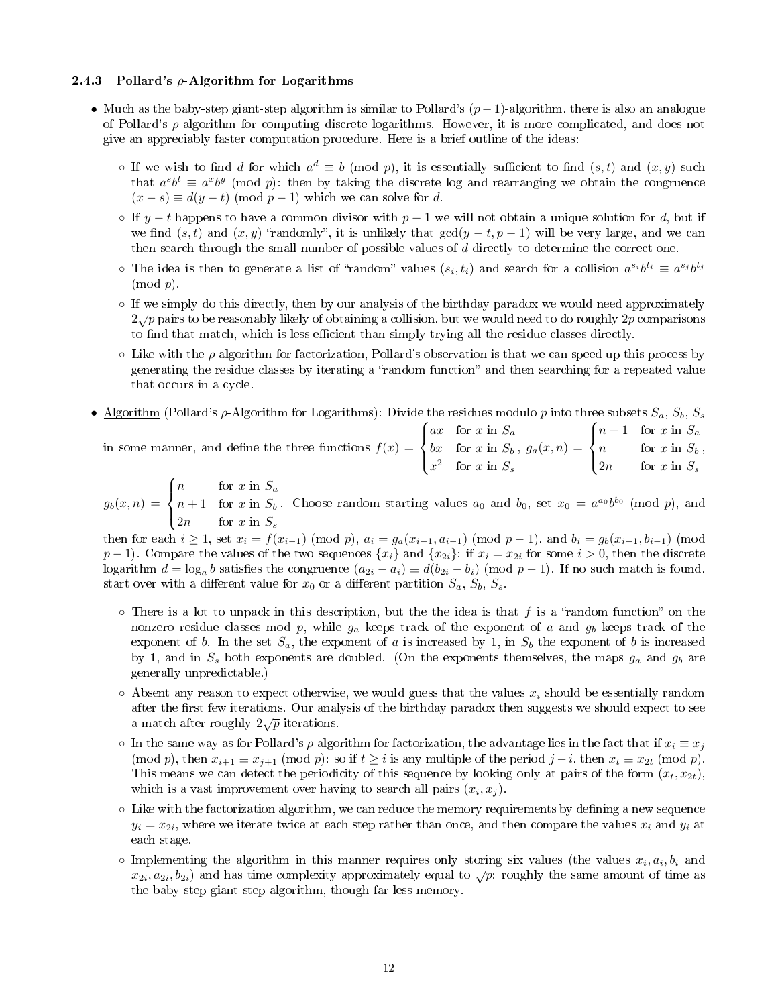#### 2.4.3 Pollard's  $\rho$ -Algorithm for Logarithms

- Much as the baby-step giant-step algorithm is similar to Pollard's  $(p-1)$ -algorithm, there is also an analogue of Pollard's  $\rho$ -algorithm for computing discrete logarithms. However, it is more complicated, and does not give an appreciably faster computation procedure. Here is a brief outline of the ideas:
	- o If we wish to find d for which  $a^d \equiv b \pmod{p}$ , it is essentially sufficient to find  $(s, t)$  and  $(x, y)$  such that  $a^s b^t \equiv a^x b^y \pmod{p}$ : then by taking the discrete log and rearranging we obtain the congruence  $(x - s) \equiv d(y - t) \pmod{p - 1}$  which we can solve for d.
	- ⊙ If  $y t$  happens to have a common divisor with  $p 1$  we will not obtain a unique solution for d, but if we find  $(s, t)$  and  $(x, y)$  "randomly", it is unlikely that  $gcd(y - t, p - 1)$  will be very large, and we can then search through the small number of possible values of d directly to determine the correct one.
	- $\circ$  The idea is then to generate a list of "random" values  $(s_i, t_i)$  and search for a collision  $a^{s_i}b^{t_i} \equiv a^{s_j}b^{t_j}$  $\pmod{p}$ .
	- If we simply do this directly, then by our analysis of the birthday paradox we would need approximately  $2\sqrt{p}$  pairs to be reasonably likely of obtaining a collision, but we would need to do roughly  $2p$  comparisons to find that match, which is less efficient than simply trying all the residue classes directly.
	- $\circ$  Like with the  $\rho$ -algorithm for factorization, Pollard's observation is that we can speed up this process by generating the residue classes by iterating a "random function" and then searching for a repeated value that occurs in a cycle.
- Algorithm (Pollard's  $\rho$ -Algorithm for Logarithms): Divide the residues modulo p into three subsets  $S_a$ ,  $S_b$ ,  $S_s$

in some manner, and define the three functions  $f(x) =$  $\sqrt{ }$  $\int$  $\overline{a}$ ax for  $x$  in  $S_a$ bx for x in  $S_b$  $x^2$  for x in  $S_s$  $, g_a(x, n) =$  $\sqrt{ }$  $\int$  $\overline{\mathcal{L}}$  $n+1$  for x in  $S_a$  $n$  for  $x$  in  $S_b$ 2n for  $x$  in  $S_s$ ,

$$
g_b(x,n) = \begin{cases} n & \text{for } x \text{ in } S_a \\ n+1 & \text{for } x \text{ in } S_b. \\ 2n & \text{for } x \text{ in } S_s \end{cases}
$$
 Choose random starting values  $a_0$  and  $b_0$ , set  $x_0 = a^{a_0}b^{b_0}$  (mod  $p$ ), and

then for each  $i \ge 1$ , set  $x_i = f(x_{i-1}) \pmod{p}$ ,  $a_i = g_a(x_{i-1}, a_{i-1}) \pmod{p-1}$ , and  $b_i = g_b(x_{i-1}, b_{i-1}) \pmod{p-1}$ p − 1). Compare the values of the two sequences  $\{x_i\}$  and  $\{x_{2i}\}$ : if  $x_i = x_{2i}$  for some  $i > 0$ , then the discrete logarithm  $d = \log_a b$  satisfies the congruence  $(a_{2i} - a_i) \equiv d(b_{2i} - b_i) \pmod{p-1}$ . If no such match is found, start over with a different value for  $x_0$  or a different partition  $S_a$ ,  $S_b$ ,  $S_s$ .

- $\circ$  There is a lot to unpack in this description, but the the idea is that f is a "random function" on the nonzero residue classes mod p, while  $g_a$  keeps track of the exponent of a and  $g_b$  keeps track of the exponent of b. In the set  $S_a$ , the exponent of a is increased by 1, in  $S_b$  the exponent of b is increased by 1, and in  $S_s$  both exponents are doubled. (On the exponents themselves, the maps  $g_a$  and  $g_b$  are generally unpredictable.)
- $\circ$  Absent any reason to expect otherwise, we would guess that the values  $x_i$  should be essentially random after the first few iterations. Our analysis of the birthday paradox then suggests we should expect to see and the match after roughly  $2\sqrt{p}$  iterations.
- $\circ$  In the same way as for Pollard's  $\rho$ -algorithm for factorization, the advantage lies in the fact that if  $x_i \equiv x_j$ (mod p), then  $x_{i+1} \equiv x_{j+1} \pmod{p}$ : so if  $t \geq i$  is any multiple of the period  $j - i$ , then  $x_t \equiv x_{2t} \pmod{p}$ . This means we can detect the periodicity of this sequence by looking only at pairs of the form  $(x_t, x_{2t})$ , which is a vast improvement over having to search all pairs  $(x_i, x_j)$ .
- $\circ$  Like with the factorization algorithm, we can reduce the memory requirements by defining a new sequence  $y_i = x_{2i}$ , where we iterate twice at each step rather than once, and then compare the values  $x_i$  and  $y_i$  at each stage.
- $\circ$  Implementing the algorithm in this manner requires only storing six values (the values  $x_i, a_i, b_i$  and implementing the algorithm in this manner requires only storing six variets (the variets  $x_i, a_i, b_i$  and  $x_{2i}, a_{2i}, b_{2i}$ ) and has time complexity approximately equal to  $\sqrt{p}$ : roughly the same amount of time as the baby-step giant-step algorithm, though far less memory.